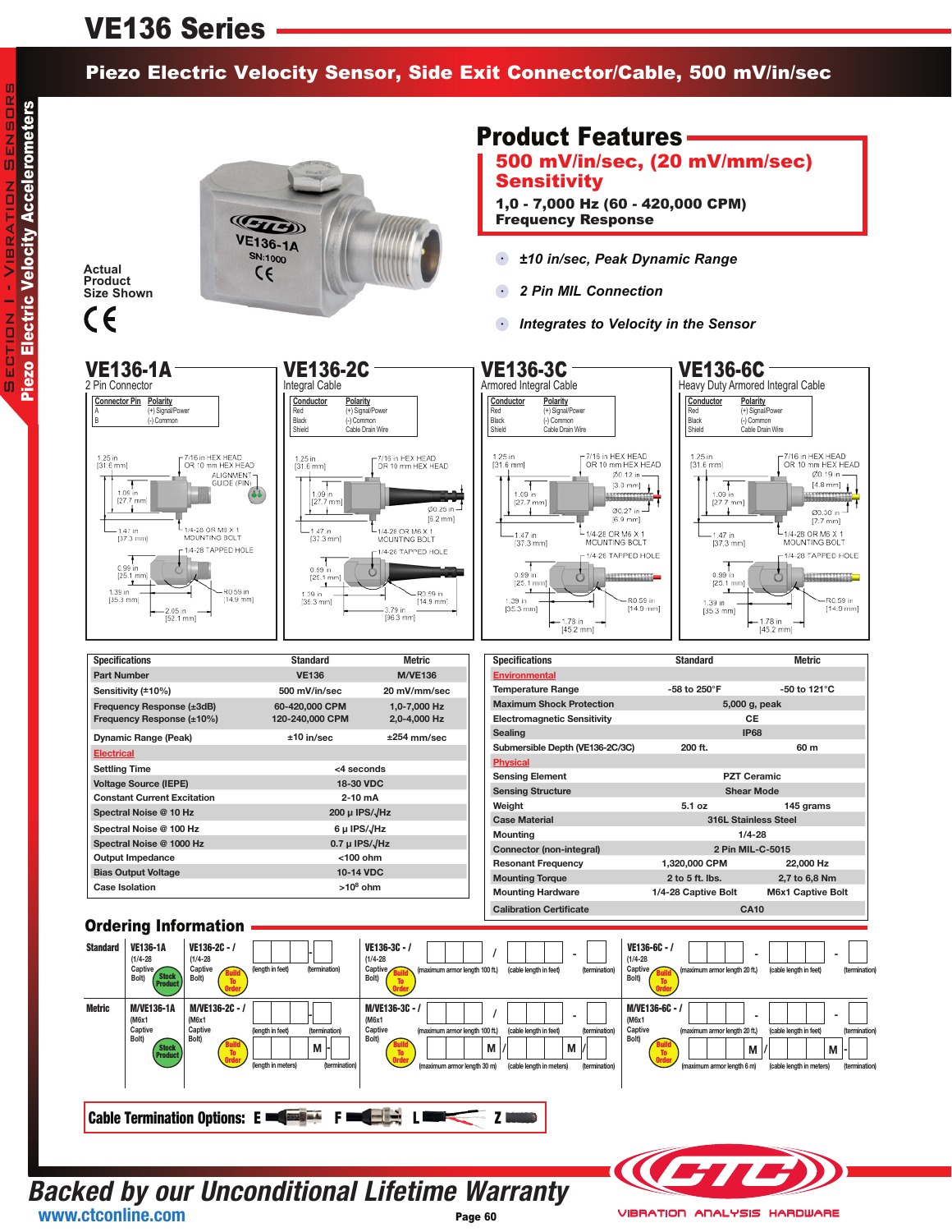## VE136 Series

### Piezo Electric Velocity Sensor, Side Exit Connector/Cable, 500 mV/in/sec

**Actual Product Size Shown**

CE



### Product Features

500 mV/in/sec, (20 mV/mm/sec) **Sensitivity** 

1,0 - 7,000 Hz (60 - 420,000 CPM) Frequency Response

- *±10 in/sec, Peak Dynamic Range*  $\left( \bullet \right)$
- $\bullet$ *2 Pin MIL Connection*
- *Integrates to Velocity in the Sensor*



**Backed by our Unconditional Lifetime Warranty** Page 60 **www.ctconline.com**

**VIBRATION ANALYSIS HARDWARE**